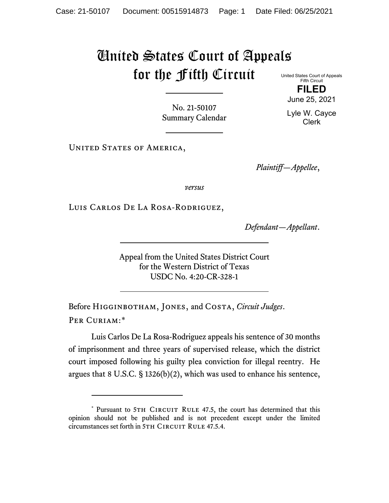## United States Court of Appeals for the Fifth Circuit

United States Court of Appeals Fifth Circuit **FILED**

June 25, 2021

Lyle W. Cayce Clerk

No. 21-50107 Summary Calendar

UNITED STATES OF AMERICA,

*Plaintiff—Appellee*,

*versus*

Luis Carlos De La Rosa-Rodriguez,

*Defendant—Appellant*.

Appeal from the United States District Court for the Western District of Texas USDC No. 4:20-CR-328-1

Before Higginbotham, Jones, and Costa, *Circuit Judges*. Per Curiam:[\\*](#page-0-0)

Luis Carlos De La Rosa-Rodriguez appeals his sentence of 30 months of imprisonment and three years of supervised release, which the district court imposed following his guilty plea conviction for illegal reentry. He argues that 8 U.S.C. § 1326(b)(2), which was used to enhance his sentence,

<span id="page-0-0"></span><sup>\*</sup> Pursuant to 5TH CIRCUIT RULE 47.5, the court has determined that this opinion should not be published and is not precedent except under the limited circumstances set forth in 5TH CIRCUIT RULE 47.5.4.